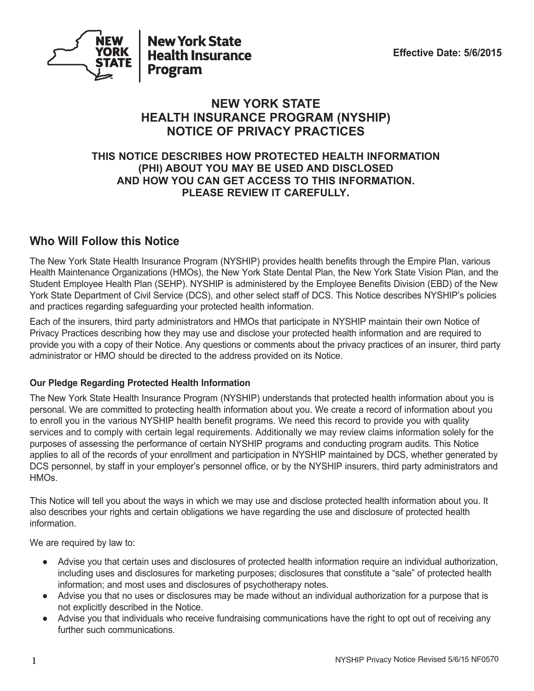

#### **NEW YORK STATE HEALTH INSURANCE PROGRAM (NYSHIP) NOTICE OF PRIVACY PRACTICES**

#### **THIS NOTICE DESCRIBES HOW PROTECTED HEALTH INFORMATION (PHI) ABOUT YOU MAY BE USED AND DISCLOSED AND HOW YOU CAN GET ACCESS TO THIS INFORMATION. PLEASE REVIEW IT CAREFULLY.**

#### **Who Will Follow this Notice**

The New York State Health Insurance Program (NYSHIP) provides health benefits through the Empire Plan, various Health Maintenance Organizations (HMOs), the New York State Dental Plan, the New York State Vision Plan, and the Student Employee Health Plan (SEHP). NYSHIP is administered by the Employee Benefits Division (EBD) of the New York State Department of Civil Service (DCS), and other select staff of DCS. This Notice describes NYSHIP's policies and practices regarding safeguarding your protected health information.

Each of the insurers, third party administrators and HMOs that participate in NYSHIP maintain their own Notice of Privacy Practices describing how they may use and disclose your protected health information and are required to provide you with a copy of their Notice. Any questions or comments about the privacy practices of an insurer, third party administrator or HMO should be directed to the address provided on its Notice.

#### **Our Pledge Regarding Protected Health Information**

The New York State Health Insurance Program (NYSHIP) understands that protected health information about you is personal. We are committed to protecting health information about you. We create a record of information about you to enroll you in the various NYSHIP health benefit programs. We need this record to provide you with quality services and to comply with certain legal requirements. Additionally we may review claims information solely for the purposes of assessing the performance of certain NYSHIP programs and conducting program audits. This Notice applies to all of the records of your enrollment and participation in NYSHIP maintained by DCS, whether generated by DCS personnel, by staff in your employer's personnel office, or by the NYSHIP insurers, third party administrators and HMOs.

This Notice will tell you about the ways in which we may use and disclose protected health information about you. It also describes your rights and certain obligations we have regarding the use and disclosure of protected health information.

We are required by law to:

- Advise you that certain uses and disclosures of protected health information require an individual authorization, including uses and disclosures for marketing purposes; disclosures that constitute a "sale" of protected health information; and most uses and disclosures of psychotherapy notes.
- Advise you that no uses or disclosures may be made without an individual authorization for a purpose that is not explicitly described in the Notice.
- Advise you that individuals who receive fundraising communications have the right to opt out of receiving any further such communications.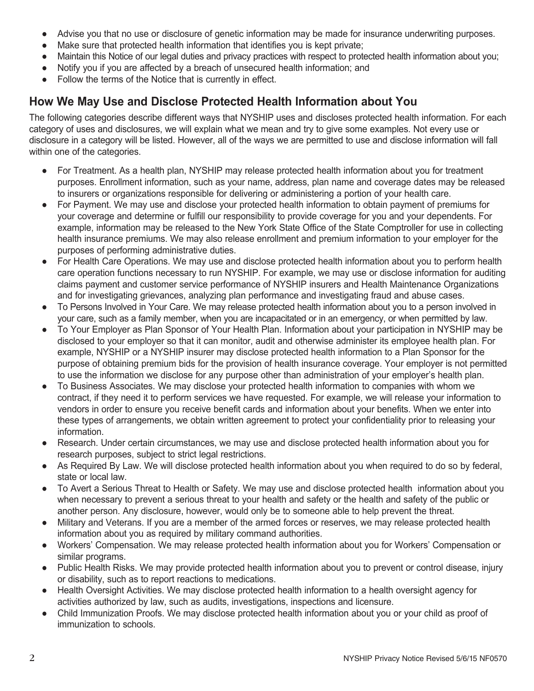- Advise you that no use or disclosure of genetic information may be made for insurance underwriting purposes.
- Make sure that protected health information that identifies you is kept private;
- Maintain this Notice of our legal duties and privacy practices with respect to protected health information about you;
- Notify you if you are affected by a breach of unsecured health information; and
- Follow the terms of the Notice that is currently in effect.

### **How We May Use and Disclose Protected Health Information about You**

The following categories describe different ways that NYSHIP uses and discloses protected health information. For each category of uses and disclosures, we will explain what we mean and try to give some examples. Not every use or disclosure in a category will be listed. However, all of the ways we are permitted to use and disclose information will fall within one of the categories.

- For Treatment. As a health plan, NYSHIP may release protected health information about you for treatment purposes. Enrollment information, such as your name, address, plan name and coverage dates may be released to insurers or organizations responsible for delivering or administering a portion of your health care.
- For Payment. We may use and disclose your protected health information to obtain payment of premiums for your coverage and determine or fulfill our responsibility to provide coverage for you and your dependents. For example, information may be released to the New York State Office of the State Comptroller for use in collecting health insurance premiums. We may also release enrollment and premium information to your employer for the purposes of performing administrative duties.
- For Health Care Operations. We may use and disclose protected health information about you to perform health care operation functions necessary to run NYSHIP. For example, we may use or disclose information for auditing claims payment and customer service performance of NYSHIP insurers and Health Maintenance Organizations and for investigating grievances, analyzing plan performance and investigating fraud and abuse cases.
- To Persons Involved in Your Care. We may release protected health information about you to a person involved in your care, such as a family member, when you are incapacitated or in an emergency, or when permitted by law.
- To Your Employer as Plan Sponsor of Your Health Plan. Information about your participation in NYSHIP may be disclosed to your employer so that it can monitor, audit and otherwise administer its employee health plan. For example, NYSHIP or a NYSHIP insurer may disclose protected health information to a Plan Sponsor for the purpose of obtaining premium bids for the provision of health insurance coverage. Your employer is not permitted to use the information we disclose for any purpose other than administration of your employer's health plan.
- To Business Associates. We may disclose your protected health information to companies with whom we contract, if they need it to perform services we have requested. For example, we will release your information to vendors in order to ensure you receive benefit cards and information about your benefits. When we enter into these types of arrangements, we obtain written agreement to protect your confidentiality prior to releasing your information.
- Research. Under certain circumstances, we may use and disclose protected health information about you for research purposes, subject to strict legal restrictions.
- As Required By Law. We will disclose protected health information about you when required to do so by federal, state or local law.
- To Avert a Serious Threat to Health or Safety. We may use and disclose protected health information about you when necessary to prevent a serious threat to your health and safety or the health and safety of the public or another person. Any disclosure, however, would only be to someone able to help prevent the threat.
- Military and Veterans. If you are a member of the armed forces or reserves, we may release protected health information about you as required by military command authorities.
- Workers' Compensation. We may release protected health information about you for Workers' Compensation or similar programs.
- Public Health Risks. We may provide protected health information about you to prevent or control disease, injury or disability, such as to report reactions to medications.
- Health Oversight Activities. We may disclose protected health information to a health oversight agency for activities authorized by law, such as audits, investigations, inspections and licensure.
- Child Immunization Proofs. We may disclose protected health information about you or your child as proof of immunization to schools.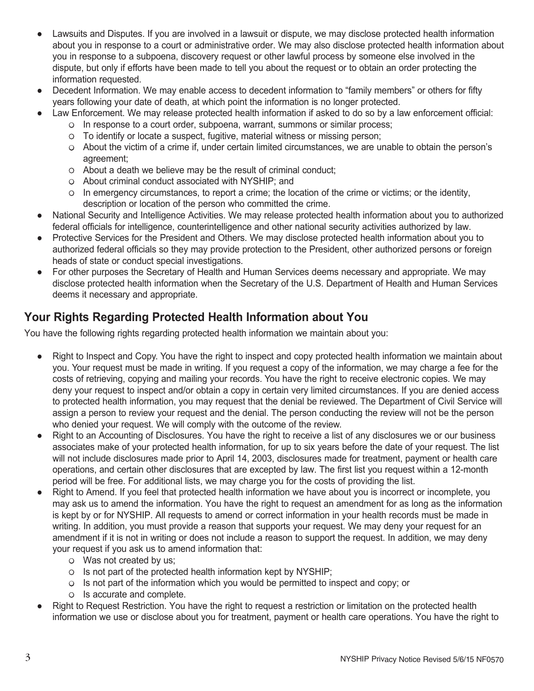- Lawsuits and Disputes. If you are involved in a lawsuit or dispute, we may disclose protected health information about you in response to a court or administrative order. We may also disclose protected health information about you in response to a subpoena, discovery request or other lawful process by someone else involved in the dispute, but only if efforts have been made to tell you about the request or to obtain an order protecting the information requested.
- Decedent Information. We may enable access to decedent information to "family members" or others for fifty years following your date of death, at which point the information is no longer protected.
- Law Enforcement. We may release protected health information if asked to do so by a law enforcement official:
	- $\circ$  In response to a court order, subpoena, warrant, summons or similar process;
	- $\circ$  To identify or locate a suspect, fugitive, material witness or missing person;
	- About the victim of a crime if, under certain limited circumstances, we are unable to obtain the person's agreement;
	- $\circ$  About a death we believe may be the result of criminal conduct:
	- o About criminal conduct associated with NYSHIP; and
	- $\circ$  In emergency circumstances, to report a crime; the location of the crime or victims; or the identity, description or location of the person who committed the crime.
- National Security and Intelligence Activities. We may release protected health information about you to authorized federal officials for intelligence, counterintelligence and other national security activities authorized by law.
- Protective Services for the President and Others. We may disclose protected health information about you to authorized federal officials so they may provide protection to the President, other authorized persons or foreign heads of state or conduct special investigations.
- For other purposes the Secretary of Health and Human Services deems necessary and appropriate. We may disclose protected health information when the Secretary of the U.S. Department of Health and Human Services deems it necessary and appropriate.

#### **Your Rights Regarding Protected Health Information about You**

You have the following rights regarding protected health information we maintain about you:

- Right to Inspect and Copy. You have the right to inspect and copy protected health information we maintain about you. Your request must be made in writing. If you request a copy of the information, we may charge a fee for the costs of retrieving, copying and mailing your records. You have the right to receive electronic copies. We may deny your request to inspect and/or obtain a copy in certain very limited circumstances. If you are denied access to protected health information, you may request that the denial be reviewed. The Department of Civil Service will assign a person to review your request and the denial. The person conducting the review will not be the person who denied your request. We will comply with the outcome of the review.
- Right to an Accounting of Disclosures. You have the right to receive a list of any disclosures we or our business associates make of your protected health information, for up to six years before the date of your request. The list will not include disclosures made prior to April 14, 2003, disclosures made for treatment, payment or health care operations, and certain other disclosures that are excepted by law. The first list you request within a 12-month period will be free. For additional lists, we may charge you for the costs of providing the list.
- Right to Amend. If you feel that protected health information we have about you is incorrect or incomplete, you may ask us to amend the information. You have the right to request an amendment for as long as the information is kept by or for NYSHIP. All requests to amend or correct information in your health records must be made in writing. In addition, you must provide a reason that supports your request. We may deny your request for an amendment if it is not in writing or does not include a reason to support the request. In addition, we may deny your request if you ask us to amend information that:
	- $\circ$  Was not created by us;
	- $\circ$  Is not part of the protected health information kept by NYSHIP;
	- $\circ$  Is not part of the information which you would be permitted to inspect and copy; or
	- o Is accurate and complete.
- Right to Request Restriction. You have the right to request a restriction or limitation on the protected health information we use or disclose about you for treatment, payment or health care operations. You have the right to